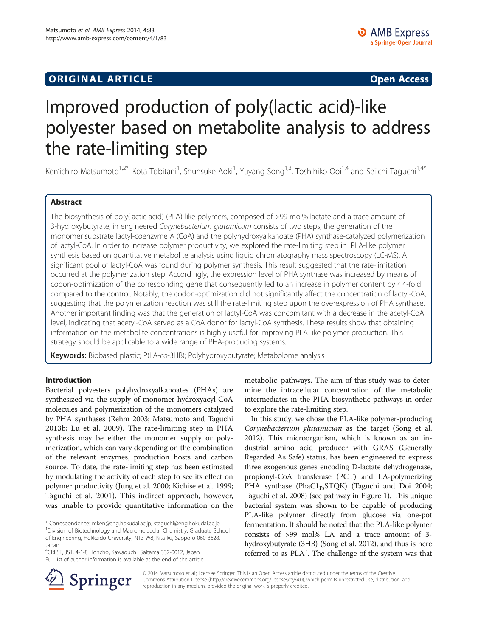# **ORIGINAL ARTICLE CONSUMING A LIGACION CONSUMING A LIGACION CONSUMING A LIGACION**

# Improved production of poly(lactic acid)-like polyester based on metabolite analysis to address the rate-limiting step

Ken'ichiro Matsumoto<sup>1,2\*</sup>, Kota Tobitani<sup>1</sup>, Shunsuke Aoki<sup>1</sup>, Yuyang Song<sup>1,3</sup>, Toshihiko Ooi<sup>1,4</sup> and Seiichi Taguchi<sup>1,4\*</sup>

# Abstract

The biosynthesis of poly(lactic acid) (PLA)-like polymers, composed of >99 mol% lactate and a trace amount of 3-hydroxybutyrate, in engineered Corynebacterium glutamicum consists of two steps; the generation of the monomer substrate lactyl-coenzyme A (CoA) and the polyhydroxyalkanoate (PHA) synthase-catalyzed polymerization of lactyl-CoA. In order to increase polymer productivity, we explored the rate-limiting step in PLA-like polymer synthesis based on quantitative metabolite analysis using liquid chromatography mass spectroscopy (LC-MS). A significant pool of lactyl-CoA was found during polymer synthesis. This result suggested that the rate-limitation occurred at the polymerization step. Accordingly, the expression level of PHA synthase was increased by means of codon-optimization of the corresponding gene that consequently led to an increase in polymer content by 4.4-fold compared to the control. Notably, the codon-optimization did not significantly affect the concentration of lactyl-CoA, suggesting that the polymerization reaction was still the rate-limiting step upon the overexpression of PHA synthase. Another important finding was that the generation of lactyl-CoA was concomitant with a decrease in the acetyl-CoA level, indicating that acetyl-CoA served as a CoA donor for lactyl-CoA synthesis. These results show that obtaining information on the metabolite concentrations is highly useful for improving PLA-like polymer production. This strategy should be applicable to a wide range of PHA-producing systems.

Keywords: Biobased plastic; P(LA-co-3HB); Polyhydroxybutyrate; Metabolome analysis

# Introduction

Bacterial polyesters polyhydroxyalkanoates (PHAs) are synthesized via the supply of monomer hydroxyacyl-CoA molecules and polymerization of the monomers catalyzed by PHA synthases (Rehm [2003](#page-4-0); Matsumoto and Taguchi [2013b;](#page-4-0) Lu et al. [2009](#page-4-0)). The rate-limiting step in PHA synthesis may be either the monomer supply or polymerization, which can vary depending on the combination of the relevant enzymes, production hosts and carbon source. To date, the rate-limiting step has been estimated by modulating the activity of each step to see its effect on polymer productivity (Jung et al. [2000;](#page-4-0) Kichise et al. [1999](#page-4-0); Taguchi et al. [2001\)](#page-4-0). This indirect approach, however, was unable to provide quantitative information on the

4 CREST, JST, 4-1-8 Honcho, Kawaguchi, Saitama 332-0012, Japan Full list of author information is available at the end of the article



In this study, we chose the PLA-like polymer-producing Corynebacterium glutamicum as the target (Song et al. [2012\)](#page-4-0). This microorganism, which is known as an industrial amino acid producer with GRAS (Generally Regarded As Safe) status, has been engineered to express three exogenous genes encoding D-lactate dehydrogenase, propionyl-CoA transferase (PCT) and LA-polymerizing PHA synthase (Pha $CI_{Ps}STQK$ ) (Taguchi and Doi [2004](#page-4-0); Taguchi et al. [2008\)](#page-4-0) (see pathway in Figure [1\)](#page-1-0). This unique bacterial system was shown to be capable of producing PLA-like polymer directly from glucose via one-pot fermentation. It should be noted that the PLA-like polymer consists of >99 mol% LA and a trace amount of 3 hydroxybutyrate (3HB) (Song et al. [2012](#page-4-0)), and thus is here referred to as PLA′. The challenge of the system was that



© 2014 Matsumoto et al.; licensee Springer. This is an Open Access article distributed under the terms of the Creative Commons Attribution License (<http://creativecommons.org/licenses/by/4.0>), which permits unrestricted use, distribution, and reproduction in any medium, provided the original work is properly credited.

<sup>\*</sup> Correspondence: [mken@eng.hokudai.ac.jp](mailto:mken@eng.hokudai.ac.jp); [staguchi@eng.hokudai.ac.jp](mailto:staguchi@eng.hokudai.ac.jp) <sup>1</sup> <sup>1</sup> Division of Biotechnology and Macromolecular Chemistry, Graduate School of Engineering, Hokkaido University, N13-W8, Kita-ku, Sapporo 060-8628, Japan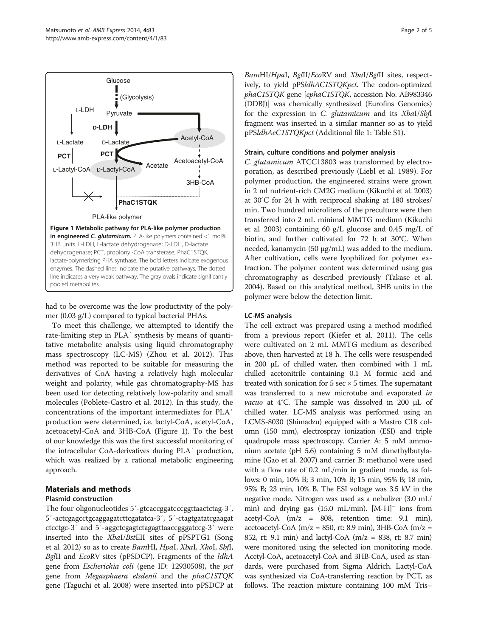<span id="page-1-0"></span>

had to be overcome was the low productivity of the polymer (0.03 g/L) compared to typical bacterial PHAs.

To meet this challenge, we attempted to identify the rate-limiting step in PLA′ synthesis by means of quantitative metabolite analysis using liquid chromatography mass spectroscopy (LC-MS) (Zhou et al. [2012](#page-4-0)). This method was reported to be suitable for measuring the derivatives of CoA having a relatively high molecular weight and polarity, while gas chromatography-MS has been used for detecting relatively low-polarity and small molecules (Poblete-Castro et al. [2012](#page-4-0)). In this study, the concentrations of the important intermediates for PLA′ production were determined, i.e. lactyl-CoA, acetyl-CoA, acetoacetyl-CoA and 3HB-CoA (Figure 1). To the best of our knowledge this was the first successful monitoring of the intracellular CoA-derivatives during PLA′ production, which was realized by a rational metabolic engineering approach.

# Materials and methods

# Plasmid construction

The four oligonucleotides 5΄-gtcaccggatcccggttaactctag-3΄, 5΄-actcgagcctgcaggagatcttcgatatca-3΄, 5΄-ctagtgatatcgaagat ctcctgc-3΄ and 5΄-aggctcgagtctagagttaaccgggatccg-3΄ were inserted into the XbaI/BstEII sites of pPSPTG1 (Song et al. [2012](#page-4-0)) so as to create *BamHI*, *HpaI*, *XbaI*, *XhoI*, *SbfI*, BglII and EcoRV sites (pPSDCP). Fragments of the *ldhA* gene from Escherichia coli (gene ID: 12930508), the pct gene from Megasphaera elsdenii and the phaC1STQK gene (Taguchi et al. [2008](#page-4-0)) were inserted into pPSDCP at BamHI/HpaI, BglII/EcoRV and XbaI/BglII sites, respectively, to yield pPSldhAC1STQKpct. The codon-optimized phaC1STQK gene [ephaC1STQK, accession No. AB983346 (DDBJ)] was chemically synthesized (Eurofins Genomics) for the expression in C. glutamicum and its XbaI/SbfI fragment was inserted in a similar manner so as to yield pPSldhAeC1STQKpct (Additional file [1](#page-4-0): Table S1).

#### Strain, culture conditions and polymer analysis

C. glutamicum ATCC13803 was transformed by electroporation, as described previously (Liebl et al. [1989\)](#page-4-0). For polymer production, the engineered strains were grown in 2 ml nutrient-rich CM2G medium (Kikuchi et al. [2003](#page-4-0)) at 30°C for 24 h with reciprocal shaking at 180 strokes/ min. Two hundred microliters of the preculture were then transferred into 2 mL minimal MMTG medium (Kikuchi et al. [2003](#page-4-0)) containing 60 g/L glucose and 0.45 mg/L of biotin, and further cultivated for 72 h at 30°C. When needed, kanamycin (50 μg/mL) was added to the medium. After cultivation, cells were lyophilized for polymer extraction. The polymer content was determined using gas chromatography as described previously (Takase et al. [2004](#page-4-0)). Based on this analytical method, 3HB units in the polymer were below the detection limit.

#### LC-MS analysis

The cell extract was prepared using a method modified from a previous report (Kiefer et al. [2011\)](#page-4-0). The cells were cultivated on 2 mL MMTG medium as described above, then harvested at 18 h. The cells were resuspended in 200 μL of chilled water, then combined with 1 mL chilled acetonitrile containing 0.1 M formic acid and treated with sonication for  $5 \text{ sec} \times 5$  times. The supernatant was transferred to a new microtube and evaporated in vacuo at 4°C. The sample was dissolved in 200 μL of chilled water. LC-MS analysis was performed using an LCMS-8030 (Shimadzu) equipped with a Mastro C18 column (150 mm), electrospray ionization (ESI) and triple quadrupole mass spectroscopy. Carrier A: 5 mM ammonium acetate (pH 5.6) containing 5 mM dimethylbutylamine (Gao et al. [2007\)](#page-4-0) and carrier B: methanol were used with a flow rate of 0.2 mL/min in gradient mode, as follows: 0 min, 10% B; 3 min, 10% B; 15 min, 95% B; 18 min, 95% B; 23 min, 10% B. The ESI voltage was 3.5 kV in the negative mode. Nitrogen was used as a nebulizer (3.0 mL/ min) and drying gas (15.0 mL/min). [M-H]<sup>−</sup> ions from acetyl-CoA (m/z = 808, retention time: 9.1 min), acetoacetyl-CoA (m/z = 850, rt: 8.9 min), 3HB-CoA (m/z = 852, rt: 9.1 min) and lactyl-CoA (m/z = 838, rt: 8.7 min) were monitored using the selected ion monitoring mode. Acetyl-CoA, acetoacetyl-CoA and 3HB-CoA, used as standards, were purchased from Sigma Aldrich. Lactyl-CoA was synthesized via CoA-transferring reaction by PCT, as follows. The reaction mixture containing 100 mM Tris–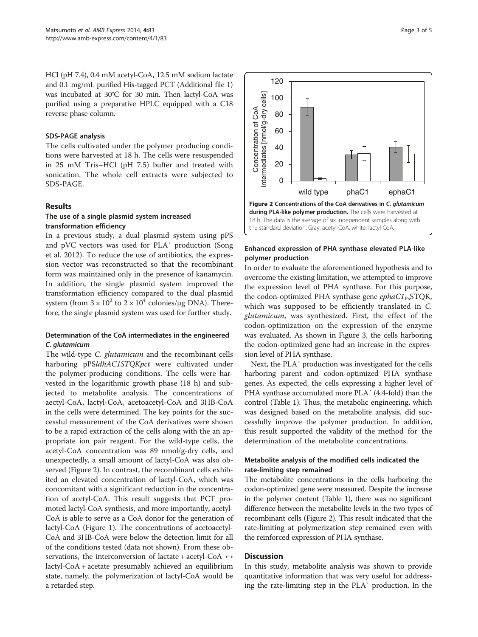HCl (pH 7.4), 0.4 mM acetyl-CoA, 12.5 mM sodium lactate and 0.1 mg/mL purified His-tagged PCT (Additional file [1](#page-4-0)) was incubated at 30°C for 30 min. Then lactyl-CoA was purified using a preparative HPLC equipped with a C18 reverse phase column.

#### SDS-PAGE analysis

The cells cultivated under the polymer producing conditions were harvested at 18 h. The cells were resuspended in 25 mM Tris–HCl (pH 7.5) buffer and treated with sonication. The whole cell extracts were subjected to SDS-PAGE.

# Results

# The use of a single plasmid system increased transformation efficiency

In a previous study, a dual plasmid system using pPS and pVC vectors was used for PLA′ production (Song et al. [2012](#page-4-0)). To reduce the use of antibiotics, the expression vector was reconstructed so that the recombinant form was maintained only in the presence of kanamycin. In addition, the single plasmid system improved the transformation efficiency compared to the dual plasmid system (from  $3 \times 10^2$  to  $2 \times 10^4$  colonies/μg DNA). Therefore, the single plasmid system was used for further study.

# Determination of the CoA intermediates in the engineered

The wild-type *C. glutamicum* and the recombinant cells harboring pPSldhAC1STQKpct were cultivated under the polymer-producing conditions. The cells were harvested in the logarithmic growth phase (18 h) and subjected to metabolite analysis. The concentrations of aectyl-CoA, lactyl-CoA, acetoacetyl-CoA and 3HB-CoA in the cells were determined. The key points for the successful measurement of the CoA derivatives were shown to be a rapid extraction of the cells along with the an appropriate ion pair reagent. For the wild-type cells, the acetyl-CoA concentration was 89 nmol/g-dry cells, and unexpectedly, a small amount of lactyl-CoA was also observed (Figure 2). In contrast, the recombinant cells exhibited an elevated concentration of lactyl-CoA, which was concomitant with a significant reduction in the concentration of acetyl-CoA. This result suggests that PCT promoted lactyl-CoA synthesis, and more importantly, acetyl-CoA is able to serve as a CoA donor for the generation of lactyl-CoA (Figure [1](#page-1-0)). The concentrations of acetoacetyl-CoA and 3HB-CoA were below the detection limit for all of the conditions tested (data not shown). From these observations, the interconversion of lactate + acetyl-CoA  $\leftrightarrow$ lactyl-CoA + acetate presumably achieved an equilibrium state, namely, the polymerization of lactyl-CoA would be a retarded step.





100

120

# Enhanced expression of PHA synthase elevated PLA-like polymer production

In order to evaluate the aforementioned hypothesis and to overcome the existing limitation, we attempted to improve the expression level of PHA synthase. For this purpose, the codon-optimized PHA synthase gene  $ephaCl<sub>Ps</sub>STQK$ , which was supposed to be efficiently translated in C. glutamicum, was synthesized. First, the effect of the codon-optimization on the expression of the enzyme was evaluated. As shown in Figure [3](#page-3-0), the cells harboring the codon-optimized gene had an increase in the expression level of PHA synthase.

Next, the PLA′ production was investigated for the cells harboring parent and codon-optimized PHA synthase genes. As expected, the cells expressing a higher level of PHA synthase accumulated more PLA′ (4.4-fold) than the control (Table [1\)](#page-3-0). Thus, the metabolic engineering, which was designed based on the metabolite analysis, did successfully improve the polymer production. In addition, this result supported the validity of the method for the determination of the metabolite concentrations.

# Metabolite analysis of the modified cells indicated the rate-limiting step remained

The metabolite concentrations in the cells harboring the codon-optimized gene were measured. Despite the increase in the polymer content (Table [1](#page-3-0)), there was no significant difference between the metabolite levels in the two types of recombinant cells (Figure 2). This result indicated that the rate-limiting at polymerization step remained even with the reinforced expression of PHA synthase.

# **Discussion**

In this study, metabolite analysis was shown to provide quantitative information that was very useful for addressing the rate-limiting step in the PLA′ production. In the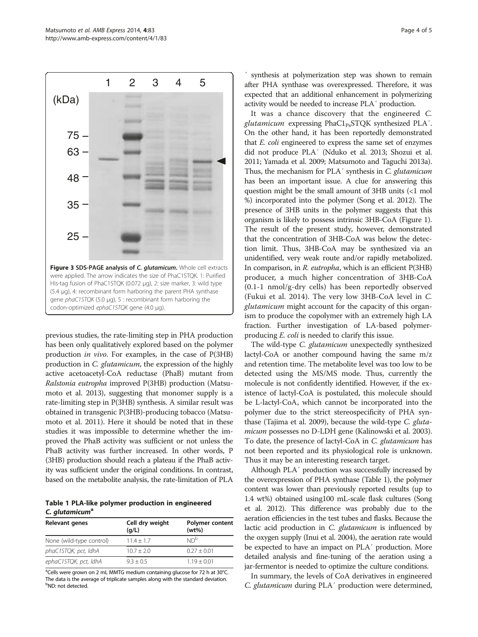<span id="page-3-0"></span>Matsumoto et al. AMB Express 2014, 4:83 Page 4 of 5 http://www.amb-express.com/content/4/1/83



previous studies, the rate-limiting step in PHA production has been only qualitatively explored based on the polymer production in vivo. For examples, in the case of P(3HB) production in C. glutamicum, the expression of the highly active acetoacetyl-CoA reductase (PhaB) mutant from Ralstonia eutropha improved P(3HB) production (Matsumoto et al. [2013](#page-4-0)), suggesting that monomer supply is a rate-limiting step in P(3HB) synthesis. A similar result was obtained in transgenic P(3HB)-producing tobacco (Matsumoto et al. [2011](#page-4-0)). Here it should be noted that in these studies it was impossible to determine whether the improved the PhaB activity was sufficient or not unless the PhaB activity was further increased. In other words, P (3HB) production should reach a plateau if the PhaB activity was sufficient under the original conditions. In contrast, based on the metabolite analysis, the rate-limitation of PLA

Table 1 PLA-like polymer production in engineered C. glutamicum<sup>a</sup>

| Relevant genes           | Cell dry weight<br>(q/L) | Polymer content<br>(wt%) |
|--------------------------|--------------------------|--------------------------|
| None (wild-type control) | $11.4 + 1.7$             | ND <sup>b</sup>          |
| phaC1STQK, pct, ldhA     | $10.7 \pm 2.0$           | $0.27 + 0.01$            |
| ephaC1STQK, pct, IdhA    | $9.3 + 0.5$              | $1.19 + 0.01$            |

<sup>a</sup>Cells were grown on 2 mL MMTG medium containing glucose for 72 h at 30°C. The data is the average of triplicate samples along with the standard deviation. <sup>b</sup>ND: not detected.

synthesis at polymerization step was shown to remain after PHA synthase was overexpressed. Therefore, it was expected that an additional enhancement in polymerizing activity would be needed to increase PLA′ production.

It was a chance discovery that the engineered C. glutamicum expressing  $PhaCl<sub>Ps</sub>STQK$  synthesized PLA'. On the other hand, it has been reportedly demonstrated that E. coli engineered to express the same set of enzymes did not produce PLA′ (Nduko et al. [2013;](#page-4-0) Shozui et al. [2011;](#page-4-0) Yamada et al. [2009](#page-4-0); Matsumoto and Taguchi [2013a](#page-4-0)). Thus, the mechanism for PLA<sup>'</sup> synthesis in *C. glutamicum* has been an important issue. A clue for answering this question might be the small amount of 3HB units (<1 mol %) incorporated into the polymer (Song et al. [2012\)](#page-4-0). The presence of 3HB units in the polymer suggests that this organism is likely to possess intrinsic 3HB-CoA (Figure [1](#page-1-0)). The result of the present study, however, demonstrated that the concentration of 3HB-CoA was below the detection limit. Thus, 3HB-CoA may be synthesized via an unidentified, very weak route and/or rapidly metabolized. In comparison, in R. eutropha, which is an efficient P(3HB) producer, a much higher concentration of 3HB-CoA (0.1-1 nmol/g-dry cells) has been reportedly observed (Fukui et al. [2014](#page-4-0)). The very low 3HB-CoA level in C. glutamicum might account for the capacity of this organism to produce the copolymer with an extremely high LA fraction. Further investigation of LA-based polymerproducing E. coli is needed to clarify this issue.

The wild-type C. glutamicum unexpectedly synthesized lactyl-CoA or another compound having the same m/z and retention time. The metabolite level was too low to be detected using the MS/MS mode. Thus, currently the molecule is not confidently identified. However, if the existence of lactyl-CoA is postulated, this molecule should be L-lactyl-CoA, which cannot be incorporated into the polymer due to the strict stereospecificity of PHA synthase (Tajima et al. [2009](#page-4-0)), because the wild-type C. glutamicum possesses no D-LDH gene (Kalinowski et al. [2003](#page-4-0)). To date, the presence of lactyl-CoA in C. glutamicum has not been reported and its physiological role is unknown. Thus it may be an interesting research target.

Although PLA′ production was successfully increased by the overexpression of PHA synthase (Table 1), the polymer content was lower than previously reported results (up to 1.4 wt%) obtained using100 mL-scale flask cultures (Song et al. [2012\)](#page-4-0). This difference was probably due to the aeration efficiencies in the test tubes and flasks. Because the lactic acid production in *C. glutamicum* is influenced by the oxygen supply (Inui et al. [2004\)](#page-4-0), the aeration rate would be expected to have an impact on PLA′ production. More detailed analysis and fine-tuning of the aeration using a jar-fermentor is needed to optimize the culture conditions.

In summary, the levels of CoA derivatives in engineered C. glutamicum during PLA′ production were determined,